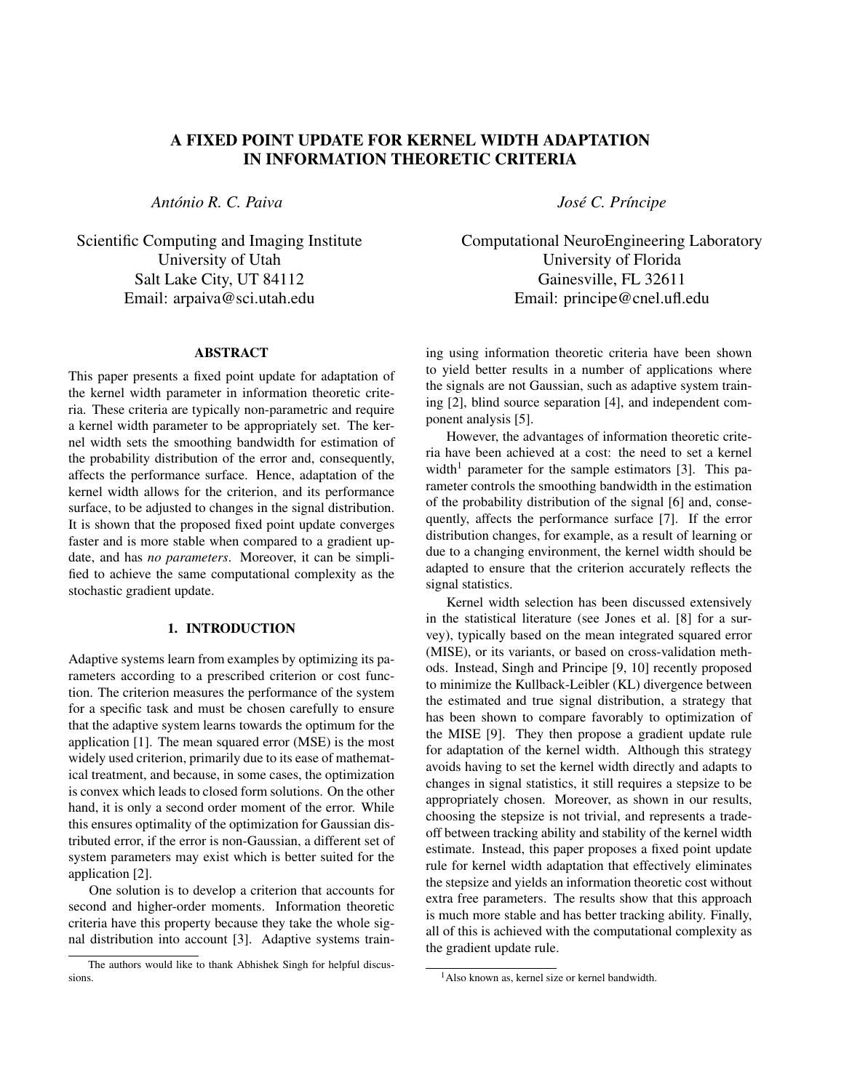# A FIXED POINT UPDATE FOR KERNEL WIDTH ADAPTATION IN INFORMATION THEORETIC CRITERIA

*Antonio R. C. Paiva ´*

Scientific Computing and Imaging Institute University of Utah Salt Lake City, UT 84112 Email: arpaiva@sci.utah.edu

### ABSTRACT

This paper presents a fixed point update for adaptation of the kernel width parameter in information theoretic criteria. These criteria are typically non-parametric and require a kernel width parameter to be appropriately set. The kernel width sets the smoothing bandwidth for estimation of the probability distribution of the error and, consequently, affects the performance surface. Hence, adaptation of the kernel width allows for the criterion, and its performance surface, to be adjusted to changes in the signal distribution. It is shown that the proposed fixed point update converges faster and is more stable when compared to a gradient update, and has *no parameters*. Moreover, it can be simplified to achieve the same computational complexity as the stochastic gradient update.

### 1. INTRODUCTION

Adaptive systems learn from examples by optimizing its parameters according to a prescribed criterion or cost function. The criterion measures the performance of the system for a specific task and must be chosen carefully to ensure that the adaptive system learns towards the optimum for the application [1]. The mean squared error (MSE) is the most widely used criterion, primarily due to its ease of mathematical treatment, and because, in some cases, the optimization is convex which leads to closed form solutions. On the other hand, it is only a second order moment of the error. While this ensures optimality of the optimization for Gaussian distributed error, if the error is non-Gaussian, a different set of system parameters may exist which is better suited for the application [2].

One solution is to develop a criterion that accounts for second and higher-order moments. Information theoretic criteria have this property because they take the whole signal distribution into account [3]. Adaptive systems train*Jose C. Pr ´ ´ıncipe*

Computational NeuroEngineering Laboratory University of Florida Gainesville, FL 32611 Email: principe@cnel.ufl.edu

ing using information theoretic criteria have been shown to yield better results in a number of applications where the signals are not Gaussian, such as adaptive system training [2], blind source separation [4], and independent component analysis [5].

However, the advantages of information theoretic criteria have been achieved at a cost: the need to set a kernel width<sup>1</sup> parameter for the sample estimators [3]. This parameter controls the smoothing bandwidth in the estimation of the probability distribution of the signal [6] and, consequently, affects the performance surface [7]. If the error distribution changes, for example, as a result of learning or due to a changing environment, the kernel width should be adapted to ensure that the criterion accurately reflects the signal statistics.

Kernel width selection has been discussed extensively in the statistical literature (see Jones et al. [8] for a survey), typically based on the mean integrated squared error (MISE), or its variants, or based on cross-validation methods. Instead, Singh and Principe [9, 10] recently proposed to minimize the Kullback-Leibler (KL) divergence between the estimated and true signal distribution, a strategy that has been shown to compare favorably to optimization of the MISE [9]. They then propose a gradient update rule for adaptation of the kernel width. Although this strategy avoids having to set the kernel width directly and adapts to changes in signal statistics, it still requires a stepsize to be appropriately chosen. Moreover, as shown in our results, choosing the stepsize is not trivial, and represents a tradeoff between tracking ability and stability of the kernel width estimate. Instead, this paper proposes a fixed point update rule for kernel width adaptation that effectively eliminates the stepsize and yields an information theoretic cost without extra free parameters. The results show that this approach is much more stable and has better tracking ability. Finally, all of this is achieved with the computational complexity as the gradient update rule.

The authors would like to thank Abhishek Singh for helpful discussions.

<sup>1</sup>Also known as, kernel size or kernel bandwidth.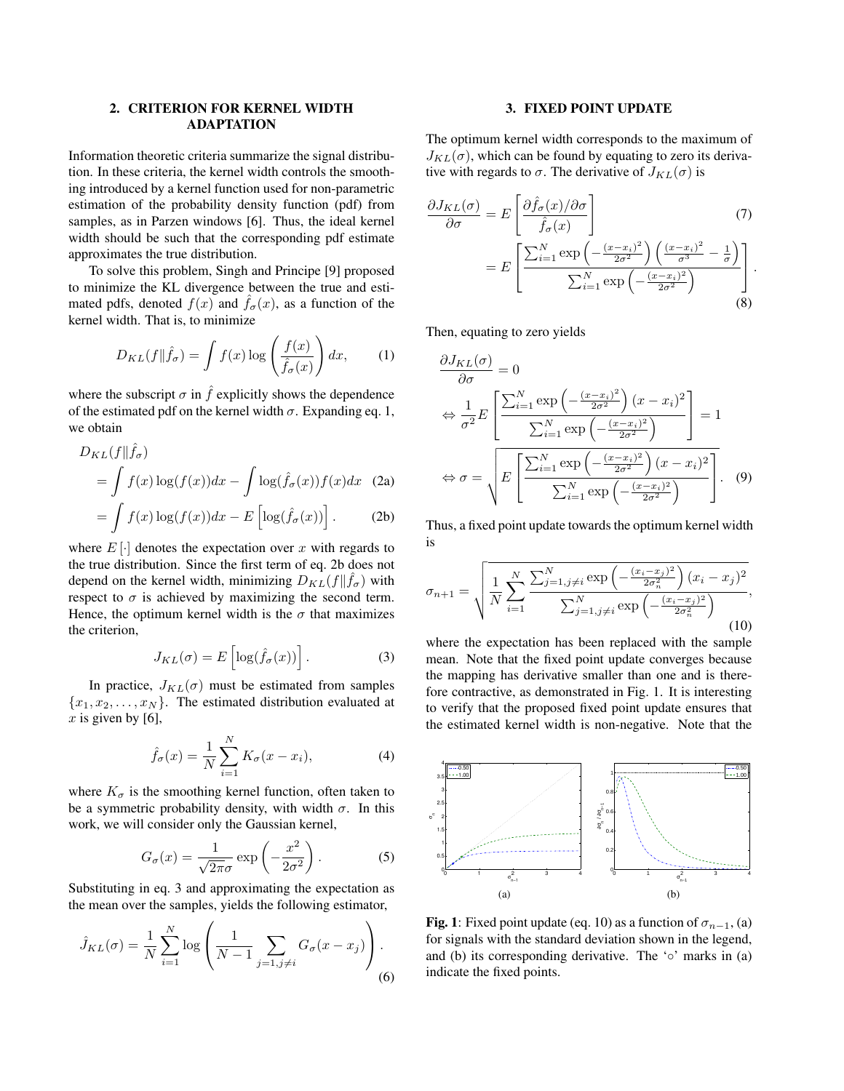## 2. CRITERION FOR KERNEL WIDTH ADAPTATION

Information theoretic criteria summarize the signal distribution. In these criteria, the kernel width controls the smoothing introduced by a kernel function used for non-parametric estimation of the probability density function (pdf) from samples, as in Parzen windows [6]. Thus, the ideal kernel width should be such that the corresponding pdf estimate approximates the true distribution.

To solve this problem, Singh and Principe [9] proposed to minimize the KL divergence between the true and estimated pdfs, denoted  $f(x)$  and  $\hat{f}_{\sigma}(x)$ , as a function of the kernel width. That is, to minimize

$$
D_{KL}(f||\hat{f}_{\sigma}) = \int f(x) \log \left(\frac{f(x)}{\hat{f}_{\sigma}(x)}\right) dx, \qquad (1)
$$

where the subscript  $\sigma$  in  $\hat{f}$  explicitly shows the dependence of the estimated pdf on the kernel width  $\sigma$ . Expanding eq. 1, we obtain

$$
D_{KL}(f||\hat{f}_{\sigma})
$$
  
=  $\int f(x) \log(f(x)) dx - \int \log(\hat{f}_{\sigma}(x)) f(x) dx$  (2a)  

$$
\int f(x) \log(f(x)) dx - E[\log(\hat{f}_{\sigma}(x))]
$$
 (2b)

$$
= \int f(x) \log(f(x)) dx - E\left[\log(\hat{f}_{\sigma}(x))\right].
$$
 (2b)

where  $E[\cdot]$  denotes the expectation over x with regards to the true distribution. Since the first term of eq. 2b does not depend on the kernel width, minimizing  $D_{KL}(f \| \hat{f}_{\sigma})$  with respect to  $\sigma$  is achieved by maximizing the second term. Hence, the optimum kernel width is the  $\sigma$  that maximizes the criterion,

$$
J_{KL}(\sigma) = E\left[\log(\hat{f}_{\sigma}(x))\right].\tag{3}
$$

In practice,  $J_{KL}(\sigma)$  must be estimated from samples  ${x_1, x_2, \ldots, x_N}$ . The estimated distribution evaluated at  $x$  is given by [6],

$$
\hat{f}_{\sigma}(x) = \frac{1}{N} \sum_{i=1}^{N} K_{\sigma}(x - x_i),
$$
\n(4)

where  $K_{\sigma}$  is the smoothing kernel function, often taken to be a symmetric probability density, with width  $\sigma$ . In this work, we will consider only the Gaussian kernel,

$$
G_{\sigma}(x) = \frac{1}{\sqrt{2\pi}\sigma} \exp\left(-\frac{x^2}{2\sigma^2}\right). \tag{5}
$$

Substituting in eq. 3 and approximating the expectation as the mean over the samples, yields the following estimator,

$$
\hat{J}_{KL}(\sigma) = \frac{1}{N} \sum_{i=1}^{N} \log \left( \frac{1}{N-1} \sum_{j=1, j \neq i} G_{\sigma}(x - x_j) \right). \tag{6}
$$

#### 3. FIXED POINT UPDATE

The optimum kernel width corresponds to the maximum of  $J_{KL}(\sigma)$ , which can be found by equating to zero its derivative with regards to  $\sigma$ . The derivative of  $J_{KL}(\sigma)$  is

$$
\frac{\partial J_{KL}(\sigma)}{\partial \sigma} = E \left[ \frac{\partial \hat{f}_{\sigma}(x) / \partial \sigma}{\hat{f}_{\sigma}(x)} \right]
$$
(7)  

$$
= E \left[ \frac{\sum_{i=1}^{N} \exp \left( -\frac{(x - x_i)^2}{2\sigma^2} \right) \left( \frac{(x - x_i)^2}{\sigma^3} - \frac{1}{\sigma} \right)}{\sum_{i=1}^{N} \exp \left( -\frac{(x - x_i)^2}{2\sigma^2} \right)} \right].
$$
(8)

Then, equating to zero yields

$$
\frac{\partial J_{KL}(\sigma)}{\partial \sigma} = 0
$$

$$
\Leftrightarrow \frac{1}{\sigma^2} E\left[\frac{\sum_{i=1}^N \exp\left(-\frac{(x-x_i)^2}{2\sigma^2}\right)(x-x_i)^2}{\sum_{i=1}^N \exp\left(-\frac{(x-x_i)^2}{2\sigma^2}\right)}\right] = 1
$$

$$
\Leftrightarrow \sigma = \sqrt{E\left[\frac{\sum_{i=1}^N \exp\left(-\frac{(x-x_i)^2}{2\sigma^2}\right)(x-x_i)^2}{\sum_{i=1}^N \exp\left(-\frac{(x-x_i)^2}{2\sigma^2}\right)}\right]}.
$$
(9)

Thus, a fixed point update towards the optimum kernel width is

$$
\sigma_{n+1} = \sqrt{\frac{1}{N} \sum_{i=1}^{N} \frac{\sum_{j=1, j \neq i}^{N} \exp\left(-\frac{(x_i - x_j)^2}{2\sigma_n^2}\right) (x_i - x_j)^2}{\sum_{j=1, j \neq i}^{N} \exp\left(-\frac{(x_i - x_j)^2}{2\sigma_n^2}\right)}},
$$
\n(10)

where the expectation has been replaced with the sample mean. Note that the fixed point update converges because the mapping has derivative smaller than one and is therefore contractive, as demonstrated in Fig. 1. It is interesting to verify that the proposed fixed point update ensures that the estimated kernel width is non-negative. Note that the



**Fig. 1**: Fixed point update (eq. 10) as a function of  $\sigma_{n-1}$ , (a) for signals with the standard deviation shown in the legend, and (b) its corresponding derivative. The ' $\circ$ ' marks in (a) indicate the fixed points.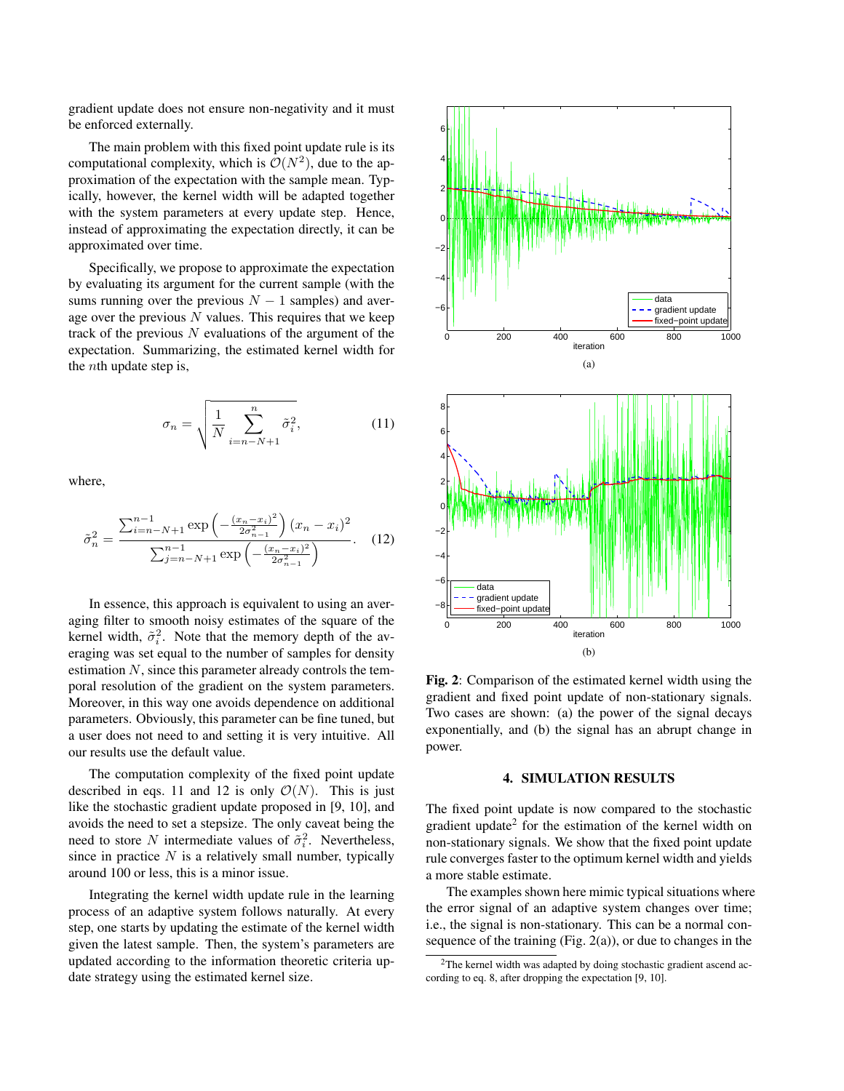gradient update does not ensure non-negativity and it must be enforced externally.

The main problem with this fixed point update rule is its computational complexity, which is  $\mathcal{O}(N^2)$ , due to the approximation of the expectation with the sample mean. Typically, however, the kernel width will be adapted together with the system parameters at every update step. Hence, instead of approximating the expectation directly, it can be approximated over time.

Specifically, we propose to approximate the expectation by evaluating its argument for the current sample (with the sums running over the previous  $N - 1$  samples) and average over the previous  $N$  values. This requires that we keep track of the previous  $N$  evaluations of the argument of the expectation. Summarizing, the estimated kernel width for the nth update step is,

$$
\sigma_n = \sqrt{\frac{1}{N} \sum_{i=n-N+1}^{n} \tilde{\sigma}_i^2},
$$
\n(11)

where,

$$
\tilde{\sigma}_n^2 = \frac{\sum_{i=n-N+1}^{n-1} \exp\left(-\frac{(x_n - x_i)^2}{2\sigma_{n-1}^2}\right) (x_n - x_i)^2}{\sum_{j=n-N+1}^{n-1} \exp\left(-\frac{(x_n - x_i)^2}{2\sigma_{n-1}^2}\right)}.
$$
 (12)

In essence, this approach is equivalent to using an averaging filter to smooth noisy estimates of the square of the kernel width,  $\tilde{\sigma}_i^2$ . Note that the memory depth of the averaging was set equal to the number of samples for density estimation  $N$ , since this parameter already controls the temporal resolution of the gradient on the system parameters. Moreover, in this way one avoids dependence on additional parameters. Obviously, this parameter can be fine tuned, but a user does not need to and setting it is very intuitive. All our results use the default value.

The computation complexity of the fixed point update described in eqs. 11 and 12 is only  $\mathcal{O}(N)$ . This is just like the stochastic gradient update proposed in [9, 10], and avoids the need to set a stepsize. The only caveat being the need to store N intermediate values of  $\tilde{\sigma}_i^2$ . Nevertheless, since in practice  $N$  is a relatively small number, typically around 100 or less, this is a minor issue.

Integrating the kernel width update rule in the learning process of an adaptive system follows naturally. At every step, one starts by updating the estimate of the kernel width given the latest sample. Then, the system's parameters are updated according to the information theoretic criteria update strategy using the estimated kernel size.



Fig. 2: Comparison of the estimated kernel width using the gradient and fixed point update of non-stationary signals. Two cases are shown: (a) the power of the signal decays exponentially, and (b) the signal has an abrupt change in power.

### 4. SIMULATION RESULTS

The fixed point update is now compared to the stochastic gradient update<sup>2</sup> for the estimation of the kernel width on non-stationary signals. We show that the fixed point update rule converges faster to the optimum kernel width and yields a more stable estimate.

The examples shown here mimic typical situations where the error signal of an adaptive system changes over time; i.e., the signal is non-stationary. This can be a normal consequence of the training (Fig. 2(a)), or due to changes in the

<sup>&</sup>lt;sup>2</sup>The kernel width was adapted by doing stochastic gradient ascend according to eq. 8, after dropping the expectation [9, 10].